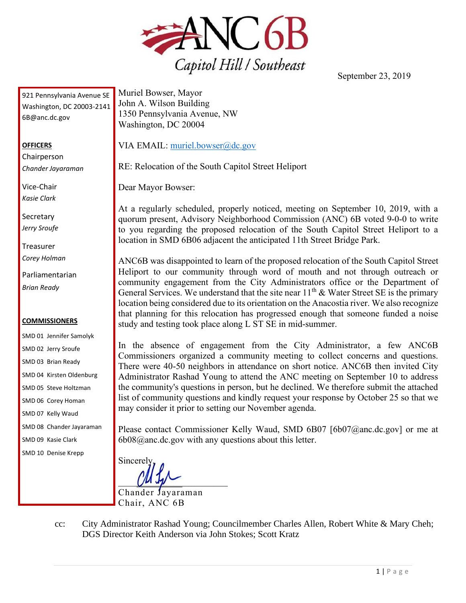

September 23, 2019

921 Pennsylvania Avenue SE Washington, DC 20003-2141 6B@anc.dc.gov

## **OFFICERS**

**Chairperson** *Chander Jayaraman*

Vice-Chair *Kasie Clark*

**Secretary** *Jerry Sroufe*

Treasurer *Corey Holman*

Parliamentarian *Brian Ready*

## **COMMISSIONERS**

SMD 01 Jennifer Samolyk SMD 02 Jerry Sroufe SMD 03 Brian Ready SMD 04 Kirsten Oldenburg SMD 05 Steve Holtzman SMD 06 Corey Homan SMD 07 Kelly Waud

SMD 08 Chander Jayaraman

SMD 09 Kasie Clark

SMD 10 Denise Krepp

Muriel Bowser, Mayor John A. Wilson Building 1350 Pennsylvania Avenue, NW Washington, DC 20004

VIA EMAIL: [muriel.bowser@dc.gov](mailto:muriel.bowser@dc.gov)

RE: Relocation of the South Capitol Street Heliport

Dear Mayor Bowser:

At a regularly scheduled, properly noticed, meeting on September 10, 2019, with a quorum present, Advisory Neighborhood Commission (ANC) 6B voted 9-0-0 to write to you regarding the proposed relocation of the South Capitol Street Heliport to a location in SMD 6B06 adjacent the anticipated 11th Street Bridge Park.

ANC6B was disappointed to learn of the proposed relocation of the South Capitol Street Heliport to our community through word of mouth and not through outreach or community engagement from the City Administrators office or the Department of General Services. We understand that the site near  $11<sup>th</sup>$  & Water Street SE is the primary location being considered due to its orientation on the Anacostia river. We also recognize that planning for this relocation has progressed enough that someone funded a noise study and testing took place along L ST SE in mid-summer.

In the absence of engagement from the City Administrator, a few ANC6B Commissioners organized a community meeting to collect concerns and questions. There were 40-50 neighbors in attendance on short notice. ANC6B then invited City Administrator Rashad Young to attend the ANC meeting on September 10 to address the community's questions in person, but he declined. We therefore submit the attached list of community questions and kindly request your response by October 25 so that we may consider it prior to setting our November agenda.

Please contact Commissioner Kelly Waud, SMD 6B07 [6b07@anc.dc.gov] or me at 6b08@anc.dc.gov with any questions about this letter.

**Sincerely**  $\sim$  the  $\sim$ Chander Jayaraman

Chair, ANC 6B

cc: City Administrator Rashad Young; Councilmember Charles Allen, Robert White & Mary Cheh; DGS Director Keith Anderson via John Stokes; Scott Kratz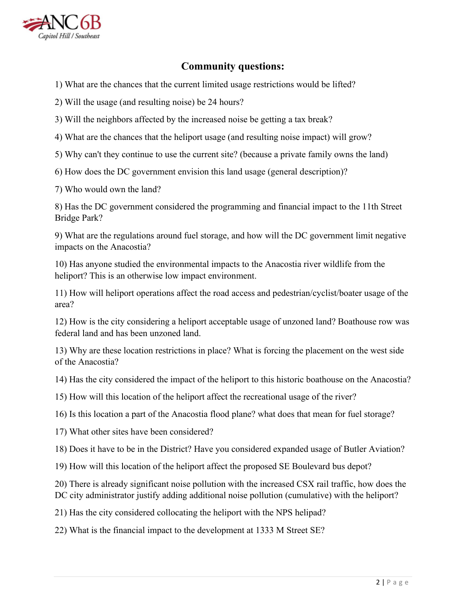

## **Community questions:**

1) What are the chances that the current limited usage restrictions would be lifted?

2) Will the usage (and resulting noise) be 24 hours?

3) Will the neighbors affected by the increased noise be getting a tax break?

4) What are the chances that the heliport usage (and resulting noise impact) will grow?

5) Why can't they continue to use the current site? (because a private family owns the land)

6) How does the DC government envision this land usage (general description)?

7) Who would own the land?

8) Has the DC government considered the programming and financial impact to the 11th Street Bridge Park?

9) What are the regulations around fuel storage, and how will the DC government limit negative impacts on the Anacostia?

10) Has anyone studied the environmental impacts to the Anacostia river wildlife from the heliport? This is an otherwise low impact environment.

11) How will heliport operations affect the road access and pedestrian/cyclist/boater usage of the area?

12) How is the city considering a heliport acceptable usage of unzoned land? Boathouse row was federal land and has been unzoned land.

13) Why are these location restrictions in place? What is forcing the placement on the west side of the Anacostia?

14) Has the city considered the impact of the heliport to this historic boathouse on the Anacostia?

15) How will this location of the heliport affect the recreational usage of the river?

16) Is this location a part of the Anacostia flood plane? what does that mean for fuel storage?

17) What other sites have been considered?

18) Does it have to be in the District? Have you considered expanded usage of Butler Aviation?

19) How will this location of the heliport affect the proposed SE Boulevard bus depot?

20) There is already significant noise pollution with the increased CSX rail traffic, how does the DC city administrator justify adding additional noise pollution (cumulative) with the heliport?

21) Has the city considered collocating the heliport with the NPS helipad?

22) What is the financial impact to the development at 1333 M Street SE?